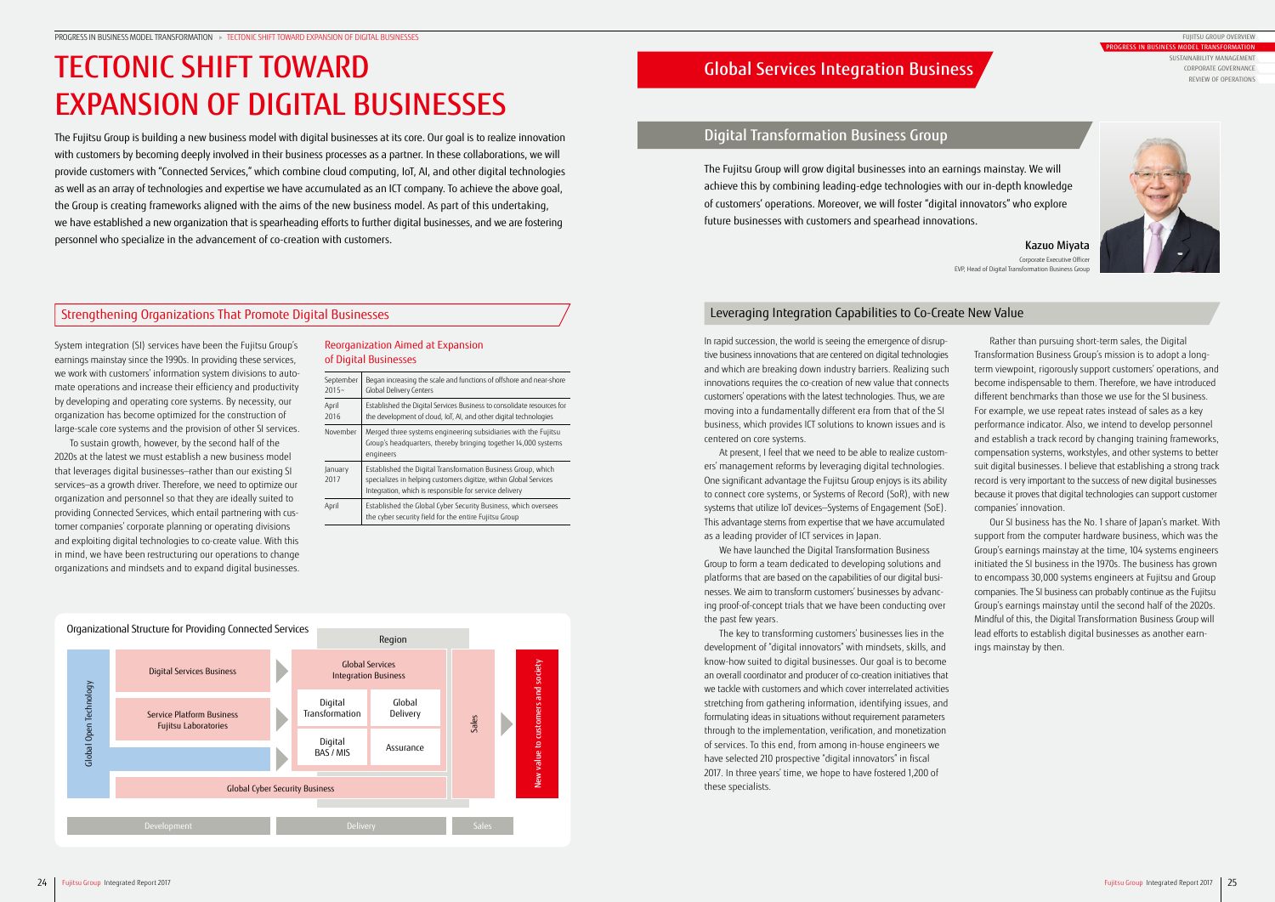## Global Services Integration Business

The Fujitsu Group will grow digital businesses into an earnings mainstay. We will achieve this by combining leading-edge technologies with our in-depth knowledge of customers' operations. Moreover, we will foster "digital innovators" who explore future businesses with customers and spearhead innovations.

## Strengthening Organizations That Promote Digital Businesses Leveraging Integration Capabilities to Co-Create New Value

System integration (SI) services have been the Fujitsu Group's earnings mainstay since the 1990s. In providing these services, we work with customers' information system divisions to automate operations and increase their efficiency and productivity by developing and operating core systems. By necessity, our organization has become optimized for the construction of large-scale core systems and the provision of other SI services.

To sustain growth, however, by the second half of the 2020s at the latest we must establish a new business model that leverages digital businesses—rather than our existing SI services—as a growth driver. Therefore, we need to optimize our organization and personnel so that they are ideally suited to providing Connected Services, which entail partnering with customer companies' corporate planning or operating divisions and exploiting digital technologies to co-create value. With this in mind, we have been restructuring our operations to change organizations and mindsets and to expand digital businesses.

We have launched the Digital Transformation Business Group to form a team dedicated to developing solutions and platforms that are based on the capabilities of our digital businesses. We aim to transform customers' businesses by advancing proof-of-concept trials that we have been conducting over the past few years.

In rapid succession, the world is seeing the emergence of disruptive business innovations that are centered on digital technologies and which are breaking down industry barriers. Realizing such innovations requires the co-creation of new value that connects customers' operations with the latest technologies. Thus, we are moving into a fundamentally different era from that of the SI business, which provides ICT solutions to known issues and is centered on core systems.

At present, I feel that we need to be able to realize customers' management reforms by leveraging digital technologies. One significant advantage the Fujitsu Group enjoys is its ability to connect core systems, or Systems of Record (SoR), with new systems that utilize IoT devices—Systems of Engagement (SoE). This advantage stems from expertise that we have accumulated as a leading provider of ICT services in Japan.

The key to transforming customers' businesses lies in the development of "digital innovators" with mindsets, skills, and know-how suited to digital businesses. Our goal is to become an overall coordinator and producer of co-creation initiatives that we tackle with customers and which cover interrelated activities stretching from gathering information, identifying issues, and formulating ideas in situations without requirement parameters through to the implementation, verification, and monetization of services. To this end, from among in-house engineers we have selected 210 prospective "digital innovators" in fiscal 2017. In three years' time, we hope to have fostered 1,200 of these specialists.

Rather than pursuing short-term sales, the Digital Transformation Business Group's mission is to adopt a longterm viewpoint, rigorously support customers' operations, and become indispensable to them. Therefore, we have introduced different benchmarks than those we use for the SI business. For example, we use repeat rates instead of sales as a key performance indicator. Also, we intend to develop personnel and establish a track record by changing training frameworks, compensation systems, workstyles, and other systems to better suit digital businesses. I believe that establishing a strong track record is very important to the success of new digital businesses because it proves that digital technologies can support customer companies' innovation.

Our SI business has the No. 1 share of Japan's market. With support from the computer hardware business, which was the Group's earnings mainstay at the time, 104 systems engineers initiated the SI business in the 1970s. The business has grown to encompass 30,000 systems engineers at Fujitsu and Group companies. The SI business can probably continue as the Fujitsu Group's earnings mainstay until the second half of the 2020s. Mindful of this, the Digital Transformation Business Group will lead efforts to establish digital businesses as another earnings mainstay by then.

## Digital Transformation Business Group

Kazuo Miyata Corporate Executive Officer EVP, Head of Digital Transformation Business Group





# TECTONIC SHIFT TOWARD EXPANSION OF DIGITAL BUSINESSES

The Fujitsu Group is building a new business model with digital businesses at its core. Our goal is to realize innovation with customers by becoming deeply involved in their business processes as a partner. In these collaborations, we will provide customers with "Connected Services," which combine cloud computing, IoT, AI, and other digital technologies as well as an array of technologies and expertise we have accumulated as an ICT company. To achieve the above goal, the Group is creating frameworks aligned with the aims of the new business model. As part of this undertaking, we have established a new organization that is spearheading efforts to further digital businesses, and we are fostering personnel who specialize in the advancement of co-creation with customers.

### Reorganization Aimed at Expansion of Digital Businesses

| September<br>$2015 -$ | Began increasing the scale and functions of offshore and near-shore<br><b>Global Delivery Centers</b>                                                                                       |
|-----------------------|---------------------------------------------------------------------------------------------------------------------------------------------------------------------------------------------|
| April<br>2016         | Established the Digital Services Business to consolidate resources for<br>the development of cloud, IoT, AI, and other digital technologies                                                 |
| November              | Merged three systems engineering subsidiaries with the Fujitsu<br>Group's headquarters, thereby bringing together 14,000 systems<br>engineers                                               |
| January<br>2017       | Established the Digital Transformation Business Group, which<br>specializes in helping customers digitize, within Global Services<br>Integration, which is responsible for service delivery |
| April                 | Established the Global Cyber Security Business, which oversees<br>the cyber security field for the entire Fujitsu Group                                                                     |

FUJITSU GROUP OVERVIEW

PROGRESS IN BUSINESS MODEL TRANSFORMATION SUSTAINABILITY MANAGEMENT CORPORATE GOVERNANCE REVIEW OF OPERATIONS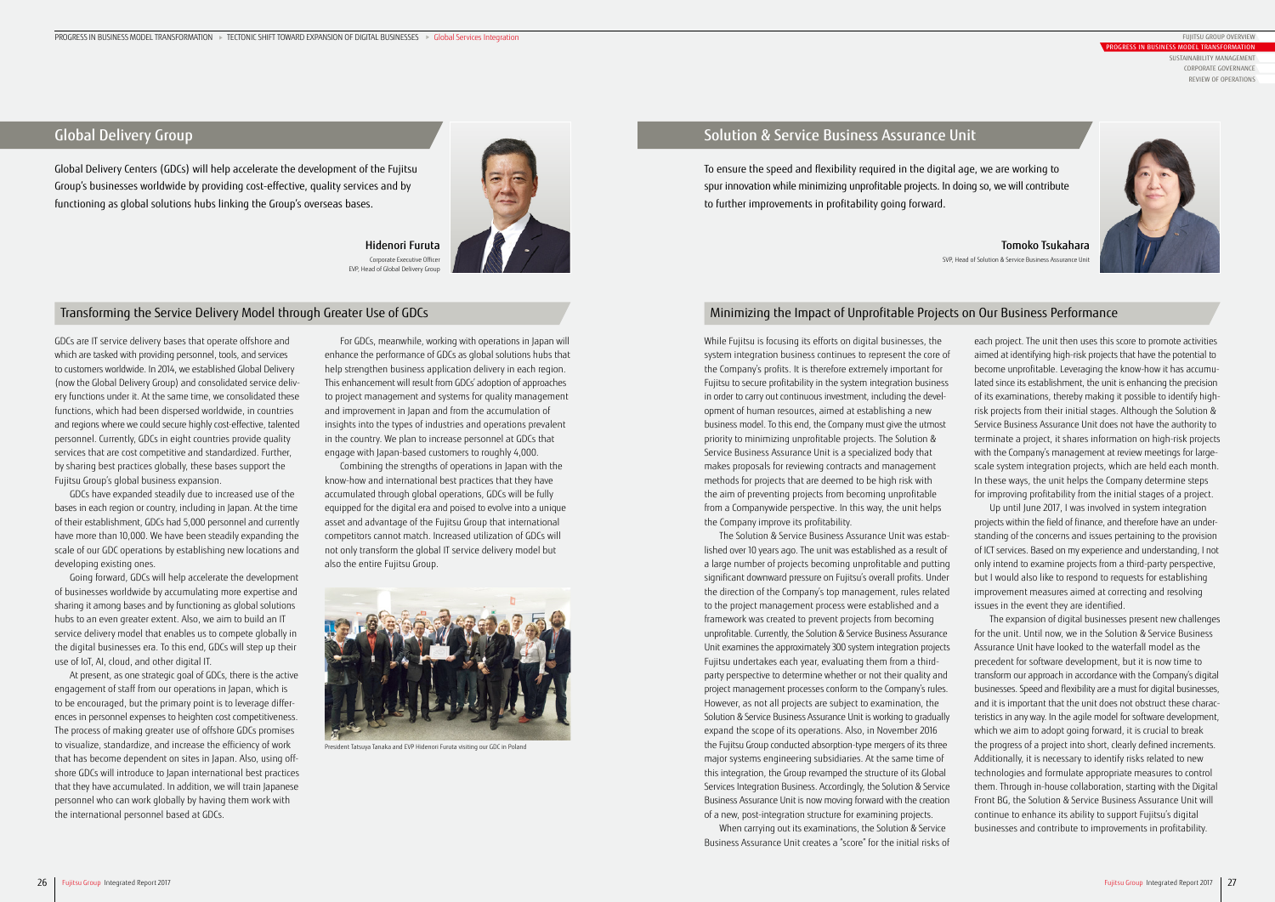Global Delivery Centers (GDCs) will help accelerate the development of the Fujitsu Group's businesses worldwide by providing cost-effective, quality services and by functioning as global solutions hubs linking the Group's overseas bases.



GDCs are IT service delivery bases that operate offshore and which are tasked with providing personnel, tools, and services to customers worldwide. In 2014, we established Global Delivery (now the Global Delivery Group) and consolidated service delivery functions under it. At the same time, we consolidated these functions, which had been dispersed worldwide, in countries and regions where we could secure highly cost-effective, talented personnel. Currently, GDCs in eight countries provide quality services that are cost competitive and standardized. Further, by sharing best practices globally, these bases support the Fujitsu Group's global business expansion.

GDCs have expanded steadily due to increased use of the bases in each region or country, including in Japan. At the time of their establishment, GDCs had 5,000 personnel and currently have more than 10,000. We have been steadily expanding the scale of our GDC operations by establishing new locations and developing existing ones.

Going forward, GDCs will help accelerate the development of businesses worldwide by accumulating more expertise and sharing it among bases and by functioning as global solutions hubs to an even greater extent. Also, we aim to build an IT service delivery model that enables us to compete globally in the digital businesses era. To this end, GDCs will step up their use of IoT, AI, cloud, and other digital IT.

At present, as one strategic goal of GDCs, there is the active engagement of staff from our operations in Japan, which is to be encouraged, but the primary point is to leverage differences in personnel expenses to heighten cost competitiveness. The process of making greater use of offshore GDCs promises to visualize, standardize, and increase the efficiency of work that has become dependent on sites in Japan. Also, using offshore GDCs will introduce to Japan international best practices that they have accumulated. In addition, we will train Japanese personnel who can work globally by having them work with the international personnel based at GDCs.

For GDCs, meanwhile, working with operations in Japan will enhance the performance of GDCs as global solutions hubs that help strengthen business application delivery in each region. This enhancement will result from GDCs' adoption of approaches to project management and systems for quality management and improvement in Japan and from the accumulation of insights into the types of industries and operations prevalent in the country. We plan to increase personnel at GDCs that engage with Japan-based customers to roughly 4,000.

Combining the strengths of operations in Japan with the know-how and international best practices that they have accumulated through global operations, GDCs will be fully equipped for the digital era and poised to evolve into a unique asset and advantage of the Fujitsu Group that international competitors cannot match. Increased utilization of GDCs will not only transform the global IT service delivery model but also the entire Fujitsu Group.

### Transforming the Service Delivery Model through Greater Use of GDCs

## Global Delivery Group

Hidenori Furuta Corporate Executive Officer EVP, Head of Global Delivery Group



President Tatsuya Tanaka and EVP Hidenori Furuta visiting our GDC in Poland

To ensure the speed and flexibility required in the digital age, we are working to spur innovation while minimizing unprofitable projects. In doing so, we will contribute to further improvements in profitability going forward.

While Fujitsu is focusing its efforts on digital businesses, the system integration business continues to represent the core of the Company's profits. It is therefore extremely important for Fujitsu to secure profitability in the system integration business in order to carry out continuous investment, including the development of human resources, aimed at establishing a new business model. To this end, the Company must give the utmost priority to minimizing unprofitable projects. The Solution & Service Business Assurance Unit is a specialized body that makes proposals for reviewing contracts and management methods for projects that are deemed to be high risk with the aim of preventing projects from becoming unprofitable from a Companywide perspective. In this way, the unit helps the Company improve its profitability.

The Solution & Service Business Assurance Unit was established over 10 years ago. The unit was established as a result of a large number of projects becoming unprofitable and putting significant downward pressure on Fujitsu's overall profits. Under the direction of the Company's top management, rules related to the project management process were established and a framework was created to prevent projects from becoming unprofitable. Currently, the Solution & Service Business Assurance Unit examines the approximately 300 system integration projects Fujitsu undertakes each year, evaluating them from a thirdparty perspective to determine whether or not their quality and project management processes conform to the Company's rules. However, as not all projects are subject to examination, the Solution & Service Business Assurance Unit is working to gradually expand the scope of its operations. Also, in November 2016 the Fujitsu Group conducted absorption-type mergers of its three major systems engineering subsidiaries. At the same time of this integration, the Group revamped the structure of its Global Services Integration Business. Accordingly, the Solution & Service Business Assurance Unit is now moving forward with the creation of a new, post-integration structure for examining projects.

When carrying out its examinations, the Solution & Service Business Assurance Unit creates a "score" for the initial risks of each project. The unit then uses this score to promote activities aimed at identifying high-risk projects that have the potential to become unprofitable. Leveraging the know-how it has accumulated since its establishment, the unit is enhancing the precision of its examinations, thereby making it possible to identify highrisk projects from their initial stages. Although the Solution & Service Business Assurance Unit does not have the authority to terminate a project, it shares information on high-risk projects with the Company's management at review meetings for largescale system integration projects, which are held each month. In these ways, the unit helps the Company determine steps for improving profitability from the initial stages of a project.

Up until June 2017, I was involved in system integration projects within the field of finance, and therefore have an understanding of the concerns and issues pertaining to the provision of ICT services. Based on my experience and understanding, I not only intend to examine projects from a third-party perspective, but I would also like to respond to requests for establishing improvement measures aimed at correcting and resolving issues in the event they are identified.

The expansion of digital businesses present new challenges for the unit. Until now, we in the Solution & Service Business Assurance Unit have looked to the waterfall model as the precedent for software development, but it is now time to transform our approach in accordance with the Company's digital businesses. Speed and flexibility are a must for digital businesses, and it is important that the unit does not obstruct these characteristics in any way. In the agile model for software development, which we aim to adopt going forward, it is crucial to break the progress of a project into short, clearly defined increments. Additionally, it is necessary to identify risks related to new technologies and formulate appropriate measures to control them. Through in-house collaboration, starting with the Digital Front BG, the Solution & Service Business Assurance Unit will continue to enhance its ability to support Fujitsu's digital businesses and contribute to improvements in profitability.

## Minimizing the Impact of Unprofitable Projects on Our Business Performance

## Solution & Service Business Assurance Unit

Tomoko Tsukahara SVP, Head of Solution & Service Business Assurance Unit



FUJITSU GROUP OVERVIEW

PROGRESS IN BUSINESS MODEL TRANSFORMATION SUSTAINABILITY MANAGEMENT CORPORATE GOVERNANCE REVIEW OF OPERATIONS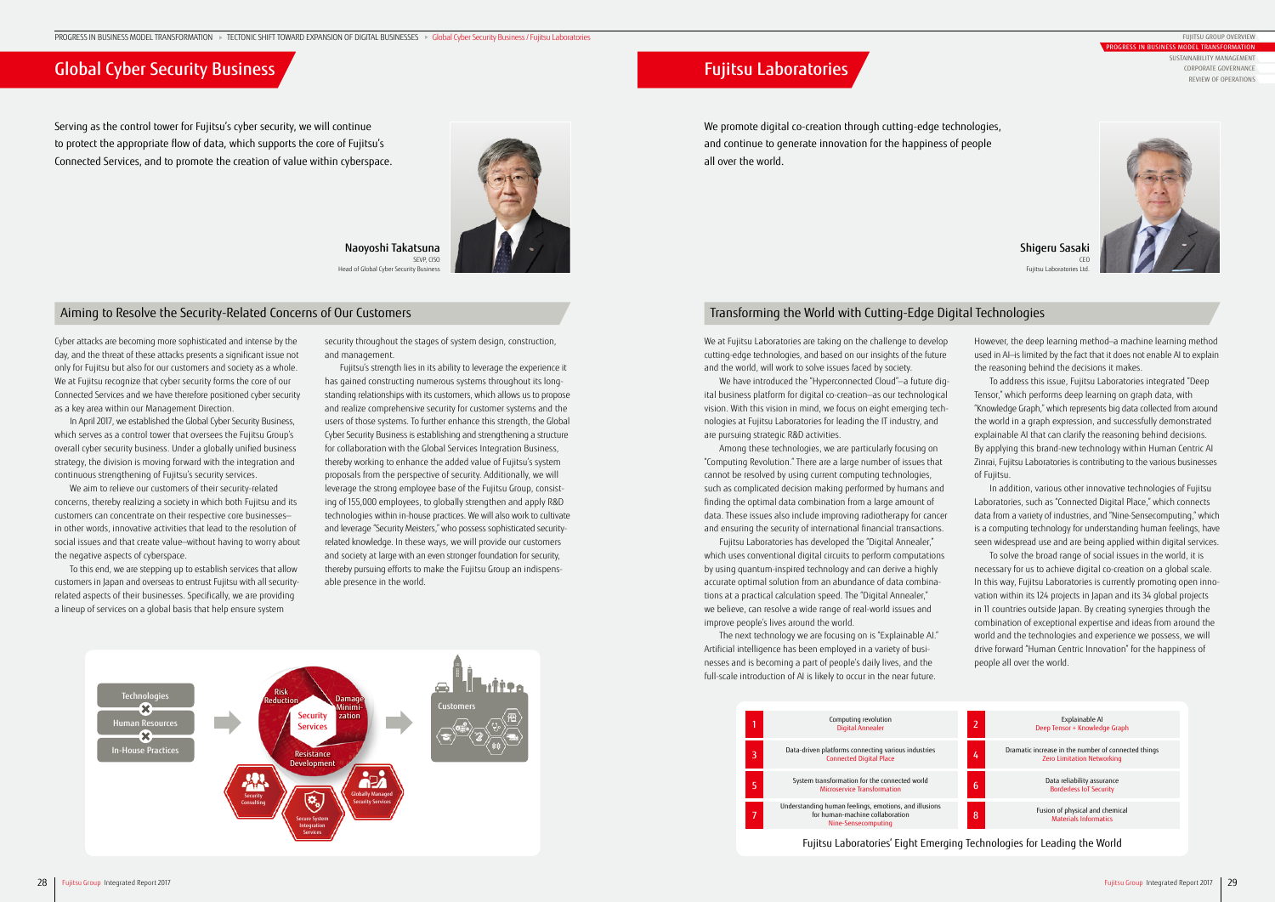## Global Cyber Security Business **Fujitsu Laboratories** Fujitsu Laboratories

Serving as the control tower for Fujitsu's cyber security, we will continue to protect the appropriate flow of data, which supports the core of Fujitsu's Connected Services, and to promote the creation of value within cyberspace.



We promote digital co-creation through cutting-edge technologies, and continue to generate innovation for the happiness of people all over the world.

Cyber attacks are becoming more sophisticated and intense by the day, and the threat of these attacks presents a significant issue not only for Fujitsu but also for our customers and society as a whole. We at Fujitsu recognize that cyber security forms the core of our Connected Services and we have therefore positioned cyber security as a key area within our Management Direction.

In April 2017, we established the Global Cyber Security Business, which serves as a control tower that oversees the Fujitsu Group's overall cyber security business. Under a globally unified business strategy, the division is moving forward with the integration and continuous strengthening of Fujitsu's security services.

We aim to relieve our customers of their security-related concerns, thereby realizing a society in which both Fujitsu and its customers can concentrate on their respective core businesses in other words, innovative activities that lead to the resolution of social issues and that create value—without having to worry about the negative aspects of cyberspace.

To this end, we are stepping up to establish services that allow customers in Japan and overseas to entrust Fujitsu with all securityrelated aspects of their businesses. Specifically, we are providing a lineup of services on a global basis that help ensure system

We at Fujitsu Laboratories are taking on the challenge to develop cutting-edge technologies, and based on our insights of the future and the world, will work to solve issues faced by society.

We have introduced the "Hyperconnected Cloud"—a future digital business platform for digital co-creation—as our technological vision. With this vision in mind, we focus on eight emerging technologies at Fujitsu Laboratories for leading the IT industry, and are pursuing strategic R&D activities.

Among these technologies, we are particularly focusing on "Computing Revolution." There are a large number of issues that cannot be resolved by using current computing technologies, such as complicated decision making performed by humans and finding the optimal data combination from a large amount of data. These issues also include improving radiotherapy for cancer and ensuring the security of international financial transactions.

Fujitsu Laboratories has developed the "Digital Annealer," which uses conventional digital circuits to perform computations by using quantum-inspired technology and can derive a highly accurate optimal solution from an abundance of data combinations at a practical calculation speed. The "Digital Annealer," we believe, can resolve a wide range of real-world issues and improve people's lives around the world.

The next technology we are focusing on is "Explainable AI." Artificial intelligence has been employed in a variety of businesses and is becoming a part of people's daily lives, and the full-scale introduction of AI is likely to occur in the near future.

security throughout the stages of system design, construction, and management.

Fujitsu's strength lies in its ability to leverage the experience it has gained constructing numerous systems throughout its longstanding relationships with its customers, which allows us to propose and realize comprehensive security for customer systems and the users of those systems. To further enhance this strength, the Global Cyber Security Business is establishing and strengthening a structure for collaboration with the Global Services Integration Business, thereby working to enhance the added value of Fujitsu's system proposals from the perspective of security. Additionally, we will leverage the strong employee base of the Fujitsu Group, consisting of 155,000 employees, to globally strengthen and apply R&D technologies within in-house practices. We will also work to cultivate and leverage "Security Meisters," who possess sophisticated securityrelated knowledge. In these ways, we will provide our customers and society at large with an even stronger foundation for security, thereby pursuing efforts to make the Fujitsu Group an indispensable presence in the world.

Naoyoshi Takatsuna SEVP CISO Head of Global Cyber Security Business

### Aiming to Resolve the Security-Related Concerns of Our Customers Transforming the World with Cutting-Edge Digital Technologies



Shigeru Sasaki  $CFC$ Fujitsu Laboratories Ltd.





Fujitsu Laboratories' Eight Emerging Technologies for Leading the World

However, the deep learning method—a machine learning method used in AI-is limited by the fact that it does not enable AI to explain the reasoning behind the decisions it makes.

To address this issue, Fujitsu Laboratories integrated "Deep Tensor," which performs deep learning on graph data, with "Knowledge Graph," which represents big data collected from around the world in a graph expression, and successfully demonstrated explainable AI that can clarify the reasoning behind decisions. By applying this brand-new technology within Human Centric AI Zinrai, Fujitsu Laboratories is contributing to the various businesses of Fujitsu.

In addition, various other innovative technologies of Fujitsu Laboratories, such as "Connected Digital Place," which connects data from a variety of industries, and "Nine-Sensecomputing," which is a computing technology for understanding human feelings, have seen widespread use and are being applied within digital services.

To solve the broad range of social issues in the world, it is necessary for us to achieve digital co-creation on a global scale. In this way, Fujitsu Laboratories is currently promoting open innovation within its 124 projects in Japan and its 34 global projects in 11 countries outside Japan. By creating synergies through the combination of exceptional expertise and ideas from around the world and the technologies and experience we possess, we will drive forward "Human Centric Innovation" for the happiness of people all over the world.

FUJITSU GROUP OVERVIEW

PROGRESS IN BUSINESS MODEL TRANSFORMATION SUSTAINABILITY MANAGEMENT CORPORATE GOVERNANCE REVIEW OF OPERATIONS